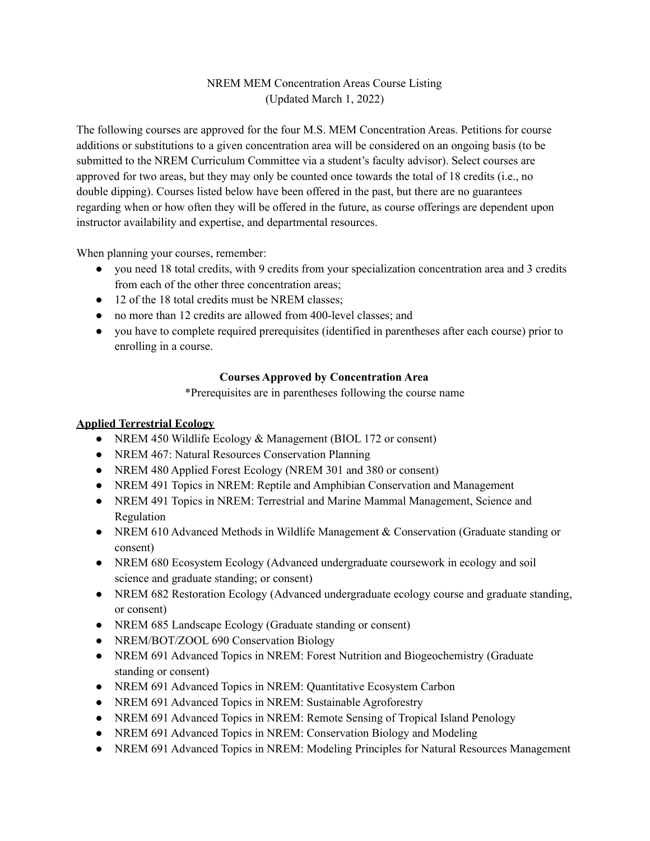# NREM MEM Concentration Areas Course Listing (Updated March 1, 2022)

The following courses are approved for the four M.S. MEM Concentration Areas. Petitions for course additions or substitutions to a given concentration area will be considered on an ongoing basis (to be submitted to the NREM Curriculum Committee via a student's faculty advisor). Select courses are approved for two areas, but they may only be counted once towards the total of 18 credits (i.e., no double dipping). Courses listed below have been offered in the past, but there are no guarantees regarding when or how often they will be offered in the future, as course offerings are dependent upon instructor availability and expertise, and departmental resources.

When planning your courses, remember:

- you need 18 total credits, with 9 credits from your specialization concentration area and 3 credits from each of the other three concentration areas;
- 12 of the 18 total credits must be NREM classes:
- no more than 12 credits are allowed from 400-level classes; and
- you have to complete required prerequisites (identified in parentheses after each course) prior to enrolling in a course.

# **Courses Approved by Concentration Area**

\*Prerequisites are in parentheses following the course name

# **Applied Terrestrial Ecology**

- NREM 450 Wildlife Ecology & Management (BIOL 172 or consent)
- NREM 467: Natural Resources Conservation Planning
- NREM 480 Applied Forest Ecology (NREM 301 and 380 or consent)
- NREM 491 Topics in NREM: Reptile and Amphibian Conservation and Management
- NREM 491 Topics in NREM: Terrestrial and Marine Mammal Management, Science and Regulation
- NREM 610 Advanced Methods in Wildlife Management & Conservation (Graduate standing or consent)
- NREM 680 Ecosystem Ecology (Advanced undergraduate coursework in ecology and soil science and graduate standing; or consent)
- NREM 682 Restoration Ecology (Advanced undergraduate ecology course and graduate standing, or consent)
- NREM 685 Landscape Ecology (Graduate standing or consent)
- NREM/BOT/ZOOL 690 Conservation Biology
- NREM 691 Advanced Topics in NREM: Forest Nutrition and Biogeochemistry (Graduate standing or consent)
- NREM 691 Advanced Topics in NREM: Quantitative Ecosystem Carbon
- NREM 691 Advanced Topics in NREM: Sustainable Agroforestry
- NREM 691 Advanced Topics in NREM: Remote Sensing of Tropical Island Penology
- NREM 691 Advanced Topics in NREM: Conservation Biology and Modeling
- NREM 691 Advanced Topics in NREM: Modeling Principles for Natural Resources Management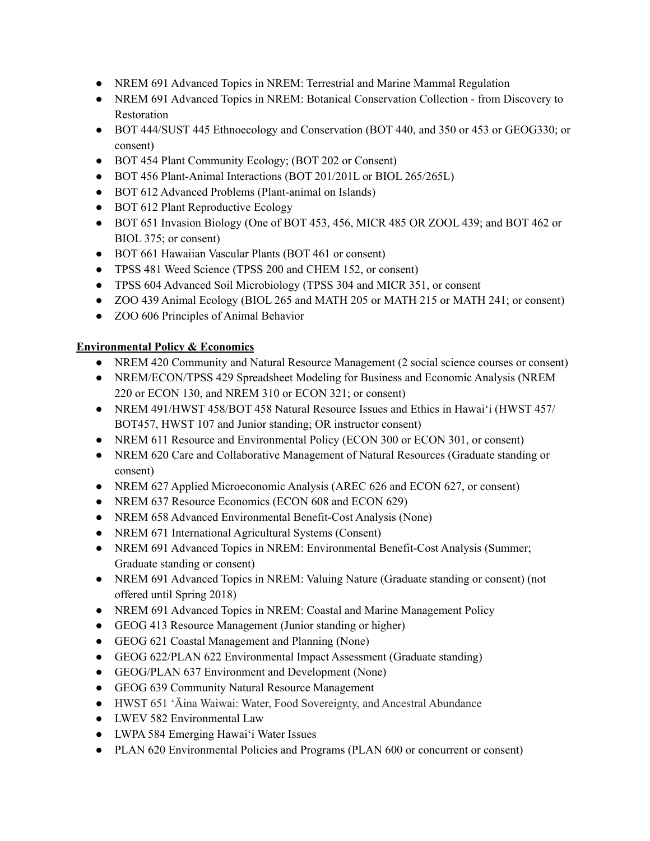- NREM 691 Advanced Topics in NREM: Terrestrial and Marine Mammal Regulation
- NREM 691 Advanced Topics in NREM: Botanical Conservation Collection from Discovery to Restoration
- BOT 444/SUST 445 Ethnoecology and Conservation (BOT 440, and 350 or 453 or GEOG330; or consent)
- BOT 454 Plant Community Ecology; (BOT 202 or Consent)
- BOT 456 Plant-Animal Interactions (BOT 201/201L or BIOL 265/265L)
- BOT 612 Advanced Problems (Plant-animal on Islands)
- BOT 612 Plant Reproductive Ecology
- BOT 651 Invasion Biology (One of BOT 453, 456, MICR 485 OR ZOOL 439; and BOT 462 or BIOL 375; or consent)
- BOT 661 Hawaiian Vascular Plants (BOT 461 or consent)
- TPSS 481 Weed Science (TPSS 200 and CHEM 152, or consent)
- TPSS 604 Advanced Soil Microbiology (TPSS 304 and MICR 351, or consent
- ZOO 439 Animal Ecology (BIOL 265 and MATH 205 or MATH 215 or MATH 241; or consent)
- ZOO 606 Principles of Animal Behavior

## **Environmental Policy & Economics**

- NREM 420 Community and Natural Resource Management (2 social science courses or consent)
- NREM/ECON/TPSS 429 Spreadsheet Modeling for Business and Economic Analysis (NREM 220 or ECON 130, and NREM 310 or ECON 321; or consent)
- NREM 491/HWST 458/BOT 458 Natural Resource Issues and Ethics in Hawaiʻi (HWST 457/ BOT457, HWST 107 and Junior standing; OR instructor consent)
- NREM 611 Resource and Environmental Policy (ECON 300 or ECON 301, or consent)
- NREM 620 Care and Collaborative Management of Natural Resources (Graduate standing or consent)
- NREM 627 Applied Microeconomic Analysis (AREC 626 and ECON 627, or consent)
- NREM 637 Resource Economics (ECON 608 and ECON 629)
- NREM 658 Advanced Environmental Benefit-Cost Analysis (None)
- NREM 671 International Agricultural Systems (Consent)
- NREM 691 Advanced Topics in NREM: Environmental Benefit-Cost Analysis (Summer; Graduate standing or consent)
- NREM 691 Advanced Topics in NREM: Valuing Nature (Graduate standing or consent) (not offered until Spring 2018)
- NREM 691 Advanced Topics in NREM: Coastal and Marine Management Policy
- GEOG 413 Resource Management (Junior standing or higher)
- GEOG 621 Coastal Management and Planning (None)
- GEOG 622/PLAN 622 Environmental Impact Assessment (Graduate standing)
- GEOG/PLAN 637 Environment and Development (None)
- GEOG 639 Community Natural Resource Management
- HWST 651 ʻĀina Waiwai: Water, Food Sovereignty, and Ancestral Abundance
- LWEV 582 Environmental Law
- LWPA 584 Emerging Hawaiʻi Water Issues
- PLAN 620 Environmental Policies and Programs (PLAN 600 or concurrent or consent)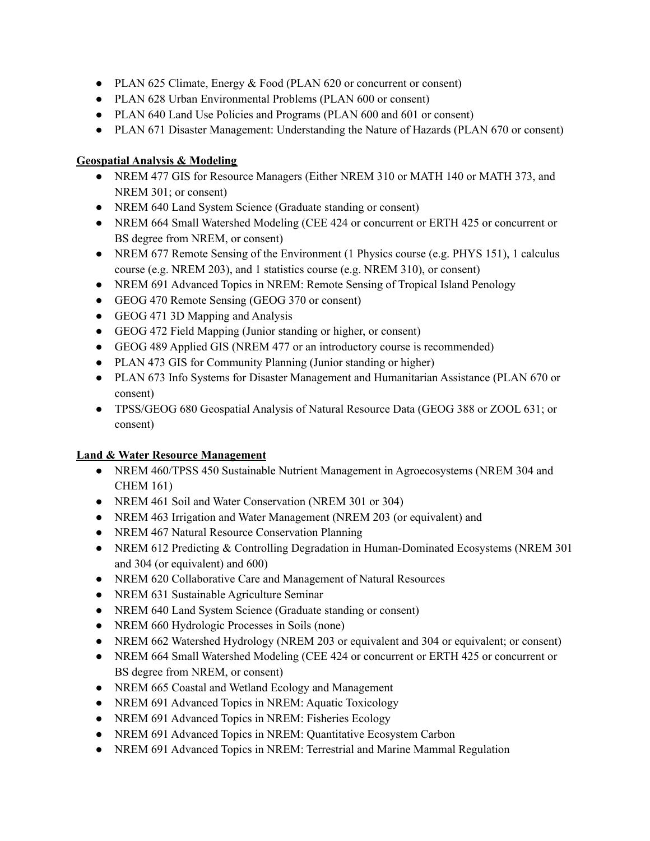- PLAN 625 Climate, Energy & Food (PLAN 620 or concurrent or consent)
- PLAN 628 Urban Environmental Problems (PLAN 600 or consent)
- PLAN 640 Land Use Policies and Programs (PLAN 600 and 601 or consent)
- PLAN 671 Disaster Management: Understanding the Nature of Hazards (PLAN 670 or consent)

# **Geospatial Analysis & Modeling**

- NREM 477 GIS for Resource Managers (Either NREM 310 or MATH 140 or MATH 373, and NREM 301; or consent)
- NREM 640 Land System Science (Graduate standing or consent)
- NREM 664 Small Watershed Modeling (CEE 424 or concurrent or ERTH 425 or concurrent or BS degree from NREM, or consent)
- NREM 677 Remote Sensing of the Environment (1 Physics course (e.g. PHYS 151), 1 calculus course (e.g. NREM 203), and 1 statistics course (e.g. NREM 310), or consent)
- NREM 691 Advanced Topics in NREM: Remote Sensing of Tropical Island Penology
- GEOG 470 Remote Sensing (GEOG 370 or consent)
- GEOG 471 3D Mapping and Analysis
- GEOG 472 Field Mapping (Junior standing or higher, or consent)
- GEOG 489 Applied GIS (NREM 477 or an introductory course is recommended)
- PLAN 473 GIS for Community Planning (Junior standing or higher)
- PLAN 673 Info Systems for Disaster Management and Humanitarian Assistance (PLAN 670 or consent)
- TPSS/GEOG 680 Geospatial Analysis of Natural Resource Data (GEOG 388 or ZOOL 631; or consent)

# **Land & Water Resource Management**

- NREM 460/TPSS 450 Sustainable Nutrient Management in Agroecosystems (NREM 304 and CHEM 161)
- NREM 461 Soil and Water Conservation (NREM 301 or 304)
- NREM 463 Irrigation and Water Management (NREM 203 (or equivalent) and
- NREM 467 Natural Resource Conservation Planning
- NREM 612 Predicting & Controlling Degradation in Human-Dominated Ecosystems (NREM 301) and 304 (or equivalent) and 600)
- NREM 620 Collaborative Care and Management of Natural Resources
- NREM 631 Sustainable Agriculture Seminar
- NREM 640 Land System Science (Graduate standing or consent)
- NREM 660 Hydrologic Processes in Soils (none)
- NREM 662 Watershed Hydrology (NREM 203 or equivalent and 304 or equivalent; or consent)
- NREM 664 Small Watershed Modeling (CEE 424 or concurrent or ERTH 425 or concurrent or BS degree from NREM, or consent)
- NREM 665 Coastal and Wetland Ecology and Management
- NREM 691 Advanced Topics in NREM: Aquatic Toxicology
- NREM 691 Advanced Topics in NREM: Fisheries Ecology
- NREM 691 Advanced Topics in NREM: Quantitative Ecosystem Carbon
- NREM 691 Advanced Topics in NREM: Terrestrial and Marine Mammal Regulation